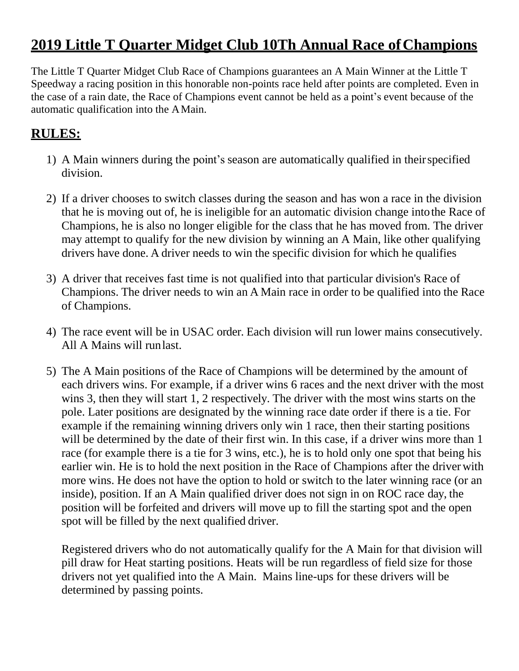## **2019 Little T Quarter Midget Club 10Th Annual Race ofChampions**

The Little T Quarter Midget Club Race of Champions guarantees an A Main Winner at the Little T Speedway a racing position in this honorable non-points race held after points are completed. Even in the case of a rain date, the Race of Champions event cannot be held as a point's event because of the automatic qualification into the AMain.

## **RULES:**

- 1) A Main winners during the point's season are automatically qualified in theirspecified division.
- 2) If a driver chooses to switch classes during the season and has won a race in the division that he is moving out of, he is ineligible for an automatic division change intothe Race of Champions, he is also no longer eligible for the class that he has moved from. The driver may attempt to qualify for the new division by winning an A Main, like other qualifying drivers have done. A driver needs to win the specific division for which he qualifies
- 3) A driver that receives fast time is not qualified into that particular division's Race of Champions. The driver needs to win an A Main race in order to be qualified into the Race of Champions.
- 4) The race event will be in USAC order. Each division will run lower mains consecutively. All A Mains will runlast.
- 5) The A Main positions of the Race of Champions will be determined by the amount of each drivers wins. For example, if a driver wins 6 races and the next driver with the most wins 3, then they will start 1, 2 respectively. The driver with the most wins starts on the pole. Later positions are designated by the winning race date order if there is a tie. For example if the remaining winning drivers only win 1 race, then their starting positions will be determined by the date of their first win. In this case, if a driver wins more than 1 race (for example there is a tie for 3 wins, etc.), he is to hold only one spot that being his earlier win. He is to hold the next position in the Race of Champions after the driver with more wins. He does not have the option to hold or switch to the later winning race (or an inside), position. If an A Main qualified driver does not sign in on ROC race day, the position will be forfeited and drivers will move up to fill the starting spot and the open spot will be filled by the next qualified driver.

Registered drivers who do not automatically qualify for the A Main for that division will pill draw for Heat starting positions. Heats will be run regardless of field size for those drivers not yet qualified into the A Main. Mains line-ups for these drivers will be determined by passing points.